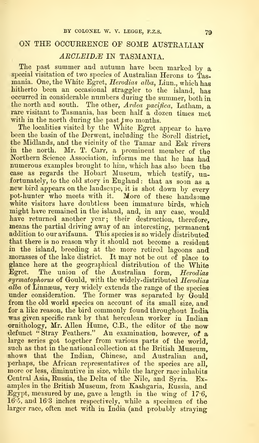## ON THE OCCURRENCE OF SOME AUSTRALIAN

## ARCLEIDÆ IN TASMANIA.

The past summer and autumn have been marked by a special visitation of two species of Australian Herons to Tasmania. One, the White Egret, Herodias alba, Linn., which has hitherto been an occasional straggler to the island, has occurred in considerable numbers during the summer, both in the north and south. The other,  $A$ rdea  $\emph{pacifica}$ , Latham, a rare visitant to Tasmania, has been half a dozen times met with in the north during the past two months.

The localities visited by the White Egret appear to have been the basin of the Derwent, including the Sorell district, the Midlands, and the vicinity of the Tamar and Esk rivers in the north. Mr. T. Carr, a prominent member of the Northern Science Association, informs me that he has had numerous examples brought to him, which has also been the case as regards the Hobart Museum, which testify, un-<br>fortunately, to the old story in England: that as soon as a new bird appears on the landscape, it is shot down by every pot-hunter who meets with it. More of these handsome white visitors have doubtless been immature birds, which might have remained in the island, and, in any case, would have returned another year; their destruction, therefore, means the partial driving away of an interesting, permanent addition to our avifauna. This species is so widely distributed that there is no reason why it should not become a resident in the island, breeding at the more retired lagoons and morasses of the lake district. It may not be out of place to glance here at the geographical distribution of the White Egret. The union of the Australian form, Herodias syrmatophorus of Gould, with the widely-distributed Herodias alba of Linnæus, very widely extends the range of the species under consideration. The former was separated by Gould from the old world species on account of its small size, and for a like reason, the bird commonly found throughout India was given specific rank by that herculean worker in Indian ornithology, Mr. Allen Hume, C.B., the editor of the now 'defunct " Stray Feathers." An examination, however, of a large series got together from various parts of the world, such as that in the national collection at the British Museum. shows that the Indian, Chinese, and Australian and, perhaps, the African representatives of the species are all, more or less, diminutive in size, while the larger race inhabits Central Asia, Russia, the Delta of the Nile, and Syria. Examples in the British Museum, from Kashgaria, Russia, and Egypt, measured by me, gave a length in the wing of 17-6, 16 'J, and 163 inches respectively, while a specimen of the larger race, often met with in India (and probably straying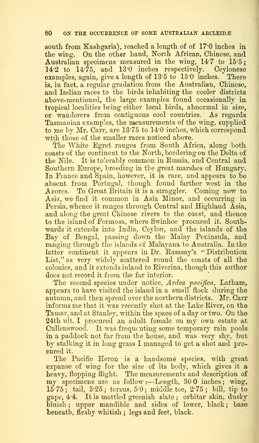south from Kashgaria), reached a length of of  $17:0$  inches in the wing. On the other hand, North African, Chinese, and Australian specimens measured in the wing, 14-7 to 15'5;  $14.2$  to  $14.75$ , and  $13.0$  inches respectively. Ceylonese examples again, give a length of  $13.5$  to  $15.0$  inches. There examples, again, give a length of  $13.5 \text{ to } 15.0 \text{ inches.}$ is, in fact, a regular gradation from the Australian, Chinese, and Indian races to the birds inhabiting the cooler districts above-mentioned, the large examples found occasionally in tropical localities being either local birds, abnormal in size, or wanderers from contiguous cool countries. As regards Tasmanian examples, the measurements of the wing, supplied to me by Mr. Carr, are 13.75 to 14.0 inches, which correspond wtih those of the smaller races noticed above.

The White Egret ranges from South Africa, along both coasts of the continent to the North, bordering on the Delta of the Nile. It is tolerably common in Russia, and Central and Southern Europe, breeding in the great marshes of Hungary. In France and Spain, however, it is rare, and appears to be absent from Portugal, though found farther west in the Azores. To Great Britain it is a straggler. Coming now to Asia, we find it common in Asia Minor, and occurring in Persia, whence it ranges through Central and Highland Asia, and along the great Chinese rivers to the coast, and thence to the island of Formosa, where Swinhoe procured it. Southwards it extends into India, Ceylon, and the islands of the Bay of Bengal, passing down the Malay Peninsula, and ranging through the islands of Malayana to Australia. In the latter continent it appears in Dr. Eamsay's " Distribution List," as very widely scattered round the coasts of all the colonies, and it extends inland to Riverina, though this author does not record it from the far interior.

The second species under notice, Ardea pacifica, Latham, appears to have visited the island in a small flock during the autumn, and then spread over the northern districts. Mr. Carr informs me that it was recently shot at the Lake River, on the Tamar, and at Stanley, within the space of <sup>a</sup> day or two. On the- 24th ult. <sup>I</sup> procured an adult female on my own estate at Cullenswood. It was frequenting some temporary rain pools in a paddock not far from the house, and was very shy, but by stalking it in long grass I managed to get a shot and pro cured it.

The Pacific Heron is a handsome species, with great expanse of wing for the size of its body, which gives it a heavy, flopping flight. The measurements and description of my specimens are as follow:—Length,  $300$  inches; wing,  $15.75$ ; tail,  $5.25$ ; tarsus,  $5.0$ ; middle toe,  $2.75$ ; bill, tip to gape, 4-4. It is mottled greenish slate ; orbitar skin, duskybluish; upper mandible and sides of lower, black; base beneath, fleshy whitish; legs and feet, black.